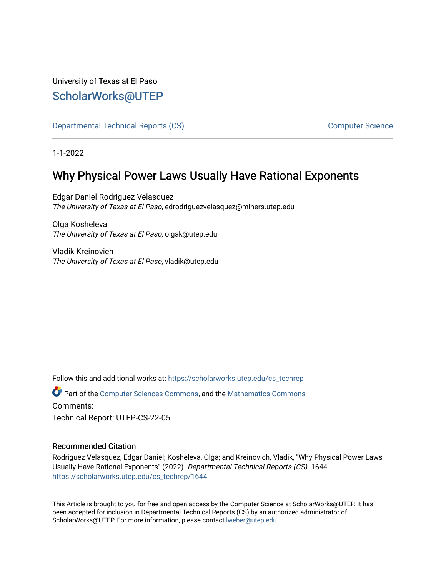## University of Texas at El Paso [ScholarWorks@UTEP](https://scholarworks.utep.edu/)

[Departmental Technical Reports \(CS\)](https://scholarworks.utep.edu/cs_techrep) [Computer Science](https://scholarworks.utep.edu/computer) 

1-1-2022

# Why Physical Power Laws Usually Have Rational Exponents

Edgar Daniel Rodriguez Velasquez The University of Texas at El Paso, edrodriguezvelasquez@miners.utep.edu

Olga Kosheleva The University of Texas at El Paso, olgak@utep.edu

Vladik Kreinovich The University of Texas at El Paso, vladik@utep.edu

Follow this and additional works at: [https://scholarworks.utep.edu/cs\\_techrep](https://scholarworks.utep.edu/cs_techrep?utm_source=scholarworks.utep.edu%2Fcs_techrep%2F1644&utm_medium=PDF&utm_campaign=PDFCoverPages) 

Part of the [Computer Sciences Commons](http://network.bepress.com/hgg/discipline/142?utm_source=scholarworks.utep.edu%2Fcs_techrep%2F1644&utm_medium=PDF&utm_campaign=PDFCoverPages), and the [Mathematics Commons](http://network.bepress.com/hgg/discipline/174?utm_source=scholarworks.utep.edu%2Fcs_techrep%2F1644&utm_medium=PDF&utm_campaign=PDFCoverPages)  Comments:

Technical Report: UTEP-CS-22-05

## Recommended Citation

Rodriguez Velasquez, Edgar Daniel; Kosheleva, Olga; and Kreinovich, Vladik, "Why Physical Power Laws Usually Have Rational Exponents" (2022). Departmental Technical Reports (CS). 1644. [https://scholarworks.utep.edu/cs\\_techrep/1644](https://scholarworks.utep.edu/cs_techrep/1644?utm_source=scholarworks.utep.edu%2Fcs_techrep%2F1644&utm_medium=PDF&utm_campaign=PDFCoverPages) 

This Article is brought to you for free and open access by the Computer Science at ScholarWorks@UTEP. It has been accepted for inclusion in Departmental Technical Reports (CS) by an authorized administrator of ScholarWorks@UTEP. For more information, please contact [lweber@utep.edu](mailto:lweber@utep.edu).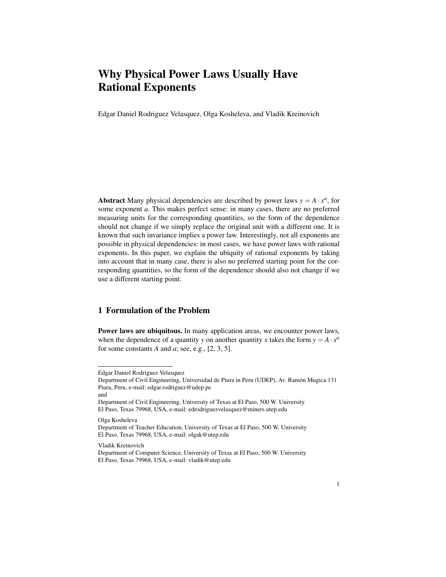## Why Physical Power Laws Usually Have Rational Exponents

Edgar Daniel Rodriguez Velasquez, Olga Kosheleva, and Vladik Kreinovich

Abstract Many physical dependencies are described by power laws  $y = A \cdot x^a$ , for some exponent *a*. This makes perfect sense: in many cases, there are no preferred measuring units for the corresponding quantities, so the form of the dependence should not change if we simply replace the original unit with a different one. It is known that such invariance implies a power law. Interestingly, not all exponents are possible in physical dependencies: in most cases, we have power laws with rational exponents. In this paper, we explain the ubiquity of rational exponents by taking into account that in many case, there is also no preferred starting point for the corresponding quantities, so the form of the dependence should also not change if we use a different starting point.

## 1 Formulation of the Problem

Power laws are ubiquitous. In many application areas, we encounter power laws, when the dependence of a quantity *y* on another quantity *x* takes the form  $y = A \cdot x^a$ for some constants  $A$  and  $a$ ; see, e.g.,  $[2, 3, 5]$ .

Olga Kosheleva

Vladik Kreinovich

Edgar Daniel Rodriguez Velasquez

Department of Civil Engineering, Universidad de Piura in Peru (UDEP), Av. Ramón Mugica 131 Piura, Peru, e-mail: edgar.rodriguez@udep.pe and

Department of Civil Engineering, University of Texas at El Paso, 500 W. University El Paso, Texas 79968, USA, e-mail: edrodriguezvelasquez@miners.utep.edu

Department of Teacher Education, University of Texas at El Paso, 500 W. University El Paso, Texas 79968, USA, e-mail: olgak@utep.edu

Department of Computer Science, University of Texas at El Paso, 500 W. University El Paso, Texas 79968, USA, e-mail: vladik@utep.edu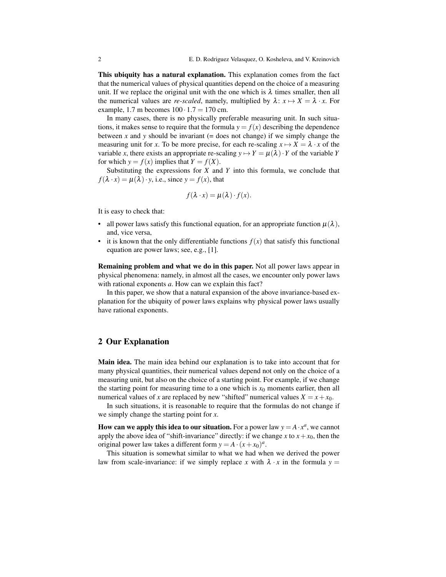This ubiquity has a natural explanation. This explanation comes from the fact that the numerical values of physical quantities depend on the choice of a measuring unit. If we replace the original unit with the one which is  $\lambda$  times smaller, then all the numerical values are *re-scaled*, namely, multiplied by  $\lambda: x \mapsto X = \lambda \cdot x$ . For example, 1.7 m becomes  $100 \cdot 1.7 = 170$  cm.

In many cases, there is no physically preferable measuring unit. In such situations, it makes sense to require that the formula  $y = f(x)$  describing the dependence between  $x$  and  $y$  should be invariant (= does not change) if we simply change the measuring unit for *x*. To be more precise, for each re-scaling  $x \mapsto X = \lambda \cdot x$  of the variable *x*, there exists an appropriate re-scaling  $y \mapsto Y = \mu(\lambda) \cdot Y$  of the variable *Y* for which  $y = f(x)$  implies that  $Y = f(X)$ .

Substituting the expressions for *X* and *Y* into this formula, we conclude that  $f(\lambda \cdot x) = \mu(\lambda) \cdot y$ , i.e., since  $y = f(x)$ , that

$$
f(\lambda \cdot x) = \mu(\lambda) \cdot f(x).
$$

It is easy to check that:

- all power laws satisfy this functional equation, for an appropriate function  $\mu(\lambda)$ , and, vice versa,
- it is known that the only differentiable functions  $f(x)$  that satisfy this functional equation are power laws; see, e.g., [1].

Remaining problem and what we do in this paper. Not all power laws appear in physical phenomena: namely, in almost all the cases, we encounter only power laws with rational exponents *a*. How can we explain this fact?

In this paper, we show that a natural expansion of the above invariance-based explanation for the ubiquity of power laws explains why physical power laws usually have rational exponents.

### 2 Our Explanation

Main idea. The main idea behind our explanation is to take into account that for many physical quantities, their numerical values depend not only on the choice of a measuring unit, but also on the choice of a starting point. For example, if we change the starting point for measuring time to a one which is  $x<sub>0</sub>$  moments earlier, then all numerical values of *x* are replaced by new "shifted" numerical values  $X = x + x_0$ .

In such situations, it is reasonable to require that the formulas do not change if we simply change the starting point for *x*.

How can we apply this idea to our situation. For a power law  $y = A \cdot x^a$ , we cannot apply the above idea of "shift-invariance" directly: if we change *x* to  $x + x_0$ , then the original power law takes a different form  $y = A \cdot (x + x_0)^a$ .

This situation is somewhat similar to what we had when we derived the power law from scale-invariance: if we simply replace *x* with  $\lambda \cdot x$  in the formula  $y =$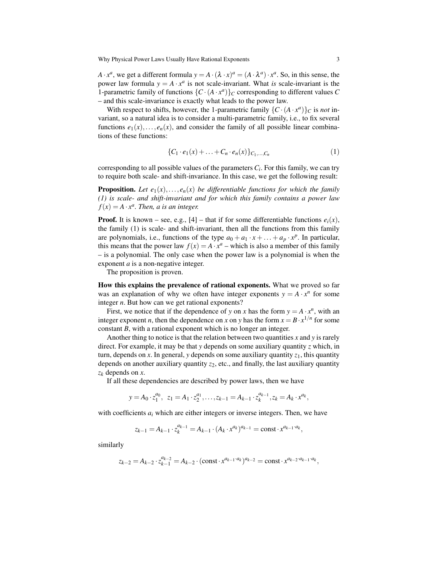Why Physical Power Laws Usually Have Rational Exponents 3

*A* · *x*<sup>*a*</sup>, we get a different formula  $y = A \cdot (\lambda \cdot x)^a = (A \cdot \lambda^a) \cdot x^a$ . So, in this sense, the power law formula  $y = A \cdot x^a$  is not scale-invariant. What *is* scale-invariant is the 1-parametric family of functions  $\{C \cdot (A \cdot x^a)\}_C$  corresponding to different values C – and this scale-invariance is exactly what leads to the power law.

With respect to shifts, however, the 1-parametric family  $\{C \cdot (A \cdot x^a)\}_C$  is *not* invariant, so a natural idea is to consider a multi-parametric family, i.e., to fix several functions  $e_1(x),..., e_n(x)$ , and consider the family of all possible linear combinations of these functions:

$$
\{C_1 \cdot e_1(x) + \ldots + C_n \cdot e_n(x)\}_{C_1, \ldots, C_n} \tag{1}
$$

corresponding to all possible values of the parameters *C<sup>i</sup>* . For this family, we can try to require both scale- and shift-invariance. In this case, we get the following result:

**Proposition.** Let  $e_1(x),...,e_n(x)$  be differentiable functions for which the family *(1) is scale- and shift-invariant and for which this family contains a power law*  $f(x) = A \cdot x^a$ . Then, a is an integer.

**Proof.** It is known – see, e.g., [4] – that if for some differentiable functions  $e_i(x)$ , the family (1) is scale- and shift-invariant, then all the functions from this family are polynomials, i.e., functions of the type  $a_0 + a_1 \cdot x + \ldots + a_p \cdot x^p$ . In particular, this means that the power law  $f(x) = A \cdot x^a$  – which is also a member of this family – is a polynomial. The only case when the power law is a polynomial is when the exponent *a* is a non-negative integer.

The proposition is proven.

How this explains the prevalence of rational exponents. What we proved so far was an explanation of why we often have integer exponents  $y = A \cdot x^n$  for some integer *n*. But how can we get rational exponents?

First, we notice that if the dependence of *y* on *x* has the form  $y = A \cdot x^n$ , with an integer exponent *n*, then the dependence on *x* on *y* has the form  $x = B \cdot x^{1/n}$  for some constant *B*, with a rational exponent which is no longer an integer.

Another thing to notice is that the relation between two quantities *x* and *y* is rarely direct. For example, it may be that *y* depends on some auxiliary quantity *z* which, in turn, depends on  $x$ . In general,  $y$  depends on some auxiliary quantity  $z_1$ , this quantity depends on another auxiliary quantity  $z_2$ , etc., and finally, the last auxiliary quantity *z<sup>k</sup>* depends on *x*.

If all these dependencies are described by power laws, then we have

$$
y = A_0 \cdot z_1^{a_0}, \ z_1 = A_1 \cdot z_2^{a_1}, \ldots, z_{k-1} = A_{k-1} \cdot z_k^{a_{k-1}}, z_k = A_k \cdot x^{a_k},
$$

with coefficients  $a_i$  which are either integers or inverse integers. Then, we have

$$
z_{k-1} = A_{k-1} \cdot z_k^{a_{k-1}} = A_{k-1} \cdot (A_k \cdot x^{a_k})^{a_{k-1}} = \text{const} \cdot x^{a_{k-1} \cdot a_k},
$$

similarly

$$
z_{k-2} = A_{k-2} \cdot z_{k-1}^{a_{k-2}} = A_{k-2} \cdot (\text{const} \cdot x^{a_{k-1} \cdot a_k})^{a_{k-2}} = \text{const} \cdot x^{a_{k-2} \cdot a_{k-1} \cdot a_k},
$$